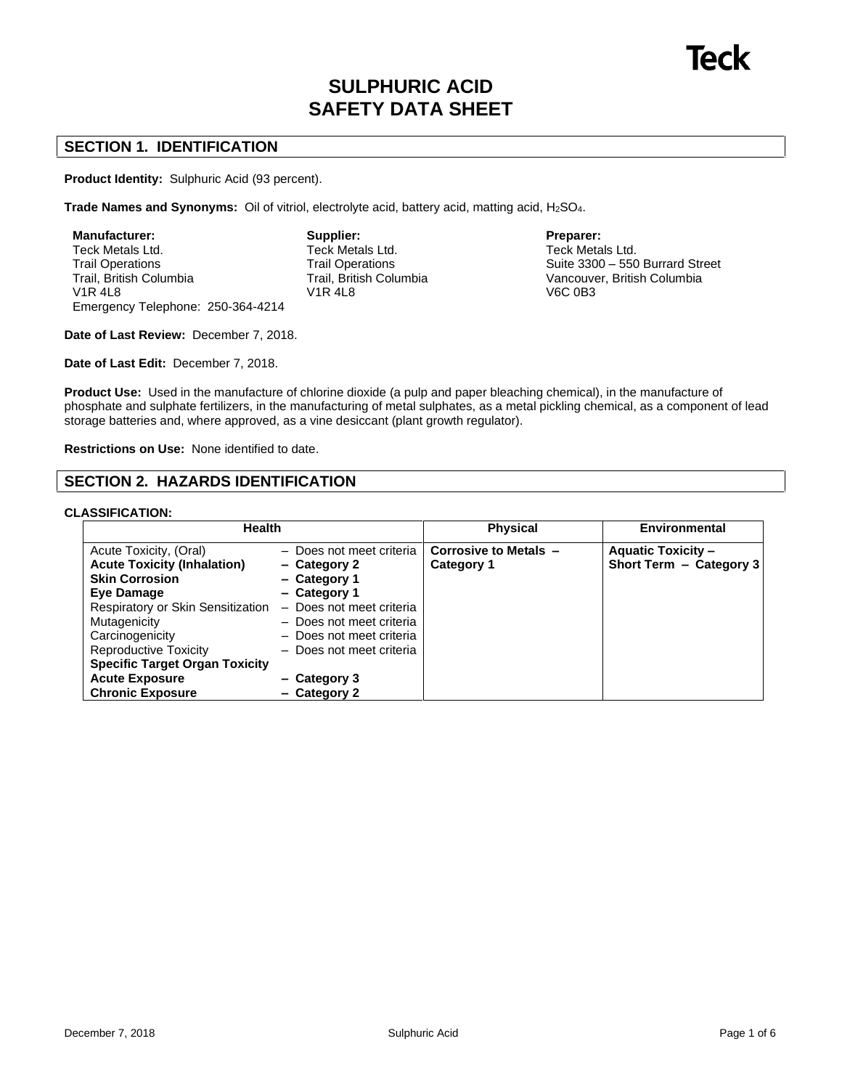# **SULPHURIC ACID SAFETY DATA SHEET**

# **SECTION 1. IDENTIFICATION**

**Product Identity:** Sulphuric Acid (93 percent).

**Trade Names and Synonyms:** Oil of vitriol, electrolyte acid, battery acid, matting acid, H2SO4.

| <b>Manufacturer:</b>              | Supp   |
|-----------------------------------|--------|
| Teck Metals Ltd.                  | Teck   |
| <b>Trail Operations</b>           | Trail  |
| Trail, British Columbia           | Trail. |
| <b>V1R4L8</b>                     | V1R .  |
| Emergency Telephone: 250-364-4214 |        |

**Supplier:** Teck Metals Ltd. Trail Operations Trail, British Columbia V1R 4L8

**Preparer:** Teck Metals Ltd. Suite  $3300 - 550$  Burrard Street Vancouver, British Columbia

V6C 0B3

**Date of Last Review:** December 7, 2018.

**Date of Last Edit:** December 7, 2018.

**Product Use:** Used in the manufacture of chlorine dioxide (a pulp and paper bleaching chemical), in the manufacture of phosphate and sulphate fertilizers, in the manufacturing of metal sulphates, as a metal pickling chemical, as a component of lead storage batteries and, where approved, as a vine desiccant (plant growth regulator).

**Restrictions on Use:** None identified to date.

# **SECTION 2. HAZARDS IDENTIFICATION**

### **CLASSIFICATION:**

| <b>Health</b>                                                                                                                                                                                                                                                                                     |                                                                                                                                                                                                                          | <b>Physical</b>                     | <b>Environmental</b>                                 |
|---------------------------------------------------------------------------------------------------------------------------------------------------------------------------------------------------------------------------------------------------------------------------------------------------|--------------------------------------------------------------------------------------------------------------------------------------------------------------------------------------------------------------------------|-------------------------------------|------------------------------------------------------|
| Acute Toxicity, (Oral)<br><b>Acute Toxicity (Inhalation)</b><br><b>Skin Corrosion</b><br>Eye Damage<br>Respiratory or Skin Sensitization<br>Mutagenicity<br>Carcinogenicity<br>Reproductive Toxicity<br><b>Specific Target Organ Toxicity</b><br><b>Acute Exposure</b><br><b>Chronic Exposure</b> | - Does not meet criteria<br>- Category 2<br>- Category 1<br>- Category 1<br>- Does not meet criteria<br>- Does not meet criteria<br>- Does not meet criteria<br>- Does not meet criteria<br>- Category 3<br>- Category 2 | Corrosive to Metals -<br>Category 1 | <b>Aquatic Toxicity -</b><br>Short Term - Category 3 |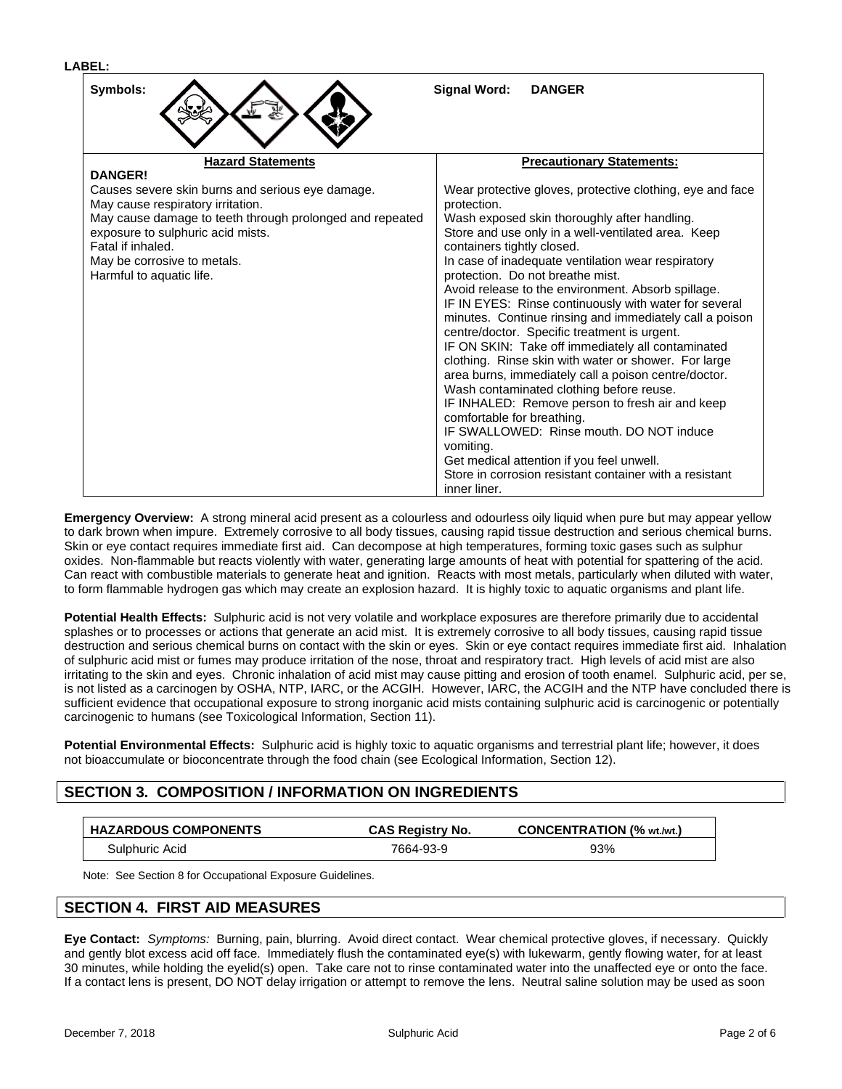| Symbols:<br>Signal Word:<br><b>DANGER</b>                                                     |                                                                                  |  |
|-----------------------------------------------------------------------------------------------|----------------------------------------------------------------------------------|--|
| <b>Hazard Statements</b>                                                                      | <b>Precautionary Statements:</b>                                                 |  |
| <b>DANGER!</b>                                                                                |                                                                                  |  |
| Causes severe skin burns and serious eye damage.<br>May cause respiratory irritation.         | Wear protective gloves, protective clothing, eye and face<br>protection.         |  |
|                                                                                               |                                                                                  |  |
| May cause damage to teeth through prolonged and repeated<br>exposure to sulphuric acid mists. | Wash exposed skin thoroughly after handling.                                     |  |
| Fatal if inhaled.                                                                             | Store and use only in a well-ventilated area. Keep<br>containers tightly closed. |  |
| May be corrosive to metals.                                                                   | In case of inadequate ventilation wear respiratory                               |  |
| Harmful to aquatic life.                                                                      | protection. Do not breathe mist.                                                 |  |
|                                                                                               | Avoid release to the environment. Absorb spillage.                               |  |
|                                                                                               | IF IN EYES: Rinse continuously with water for several                            |  |
|                                                                                               | minutes. Continue rinsing and immediately call a poison                          |  |
|                                                                                               | centre/doctor. Specific treatment is urgent.                                     |  |
|                                                                                               | IF ON SKIN: Take off immediately all contaminated                                |  |
|                                                                                               | clothing. Rinse skin with water or shower. For large                             |  |
|                                                                                               | area burns, immediately call a poison centre/doctor.                             |  |
|                                                                                               | Wash contaminated clothing before reuse.                                         |  |
|                                                                                               | IF INHALED: Remove person to fresh air and keep                                  |  |
|                                                                                               | comfortable for breathing.                                                       |  |
|                                                                                               | IF SWALLOWED: Rinse mouth, DO NOT induce                                         |  |
|                                                                                               | vomiting.                                                                        |  |
|                                                                                               | Get medical attention if you feel unwell.                                        |  |
|                                                                                               | Store in corrosion resistant container with a resistant                          |  |
|                                                                                               | inner liner.                                                                     |  |

**Emergency Overview:** A strong mineral acid present as a colourless and odourless oily liquid when pure but may appear yellow to dark brown when impure. Extremely corrosive to all body tissues, causing rapid tissue destruction and serious chemical burns. Skin or eye contact requires immediate first aid. Can decompose at high temperatures, forming toxic gases such as sulphur oxides. Non-flammable but reacts violently with water, generating large amounts of heat with potential for spattering of the acid. Can react with combustible materials to generate heat and ignition. Reacts with most metals, particularly when diluted with water, to form flammable hydrogen gas which may create an explosion hazard. It is highly toxic to aquatic organisms and plant life.

Potential Health Effects: Sulphuric acid is not very volatile and workplace exposures are therefore primarily due to accidental splashes or to processes or actions that generate an acid mist. It is extremely corrosive to all body tissues, causing rapid tissue destruction and serious chemical burns on contact with the skin or eyes. Skin or eye contact requires immediate first aid. Inhalation of sulphuric acid mistor fumes may produce irritation of the nose, throat and respiratory tract. High levels of acid mist are also irritating to the skin and eyes. Chronic inhalation of acid mist may cause pitting and erosion of tooth enamel. Sulphuric acid, per se, is not listed as a carcinogen by OSHA, NTP, IARC, or the ACGIH. However, IARC, the ACGIH and the NTP have concluded there is sufficient evidence that occupational exposure to strong inorganic acid mists containing sulphuric acid is carcinogenic or potentially carcinogenic to humans (see Toxicological Information, Section 11).

**Potential Environmental Effects:** Sulphuric acid is highly toxic to aquatic organisms and terrestrial plant life; however, it does not bioaccumulate or bioconcentrate through the food chain (see Ecological Information, Section 12).

# **SECTION 3. COMPOSITION / INFORMATION ON INGREDIENTS**

| <b>HAZARDOUS COMPONENTS</b> | <b>CAS Registry No.</b> | <b>CONCENTRATION (% wt./wt.)</b> |
|-----------------------------|-------------------------|----------------------------------|
| Sulphuric Acid              | 7664-93-9               | 93%                              |

Note: See Section 8 for Occupational Exposure Guidelines.

# **SECTION 4. FIRST AID MEASURES**

**Eye Contact:** Symptoms: Burning, pain, blurring. Avoid direct contact. Wear chemical protective gloves, if necessary. Quickly and gently blot excess acid off face. Immediately flush the contaminated eye(s) with lukewarm, gently flowing water, for at least 30 minutes, while holding the eyelid(s) open. Take care not to rinse contaminated water into the unaffected eye or onto the face. If a contact lens is present, DO NOT delay irrigation or attempt to remove the lens. Neutral saline solution may be used as soon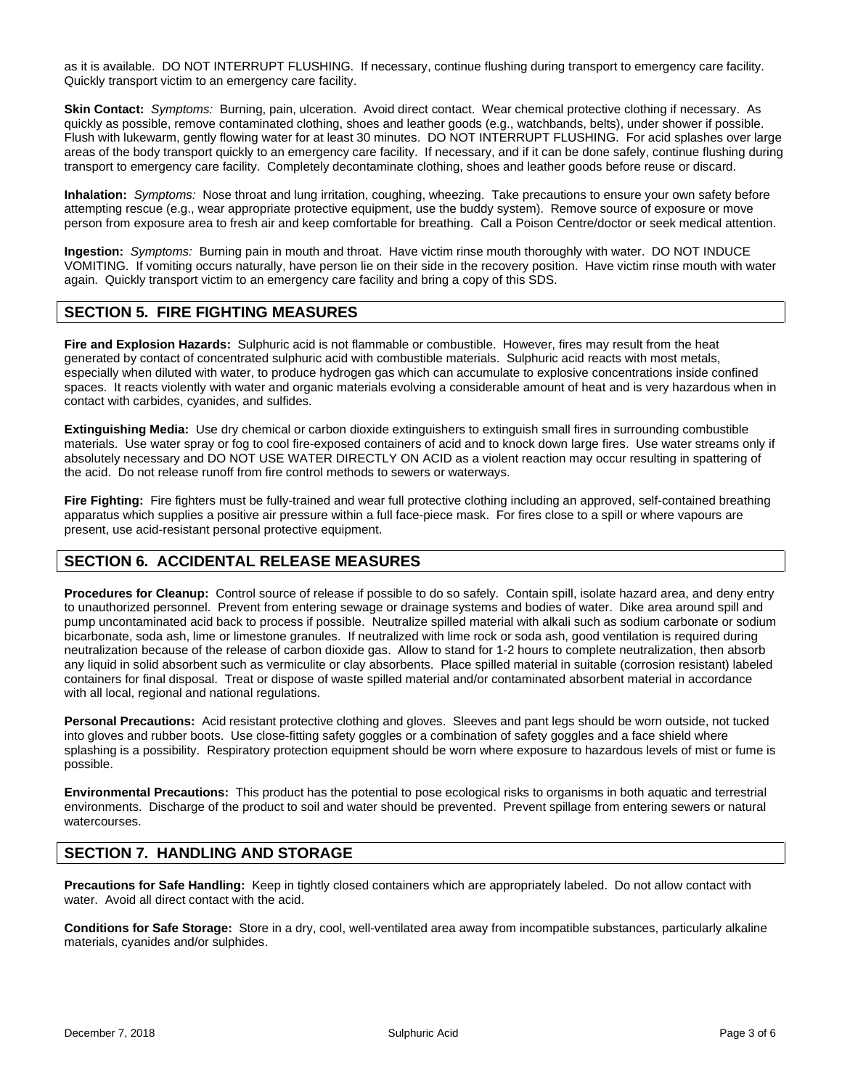as it is available. DO NOT INTERRUPT FLUSHING. If necessary, continue flushing during transport to emergency care facility. Quickly transport victim to an emergency care facility.

**Skin Contact:** Symptoms: Burning, pain, ulceration. Avoid direct contact. Wear chemical protective clothing if necessary. As quickly as possible, remove contaminated clothing, shoes and leather goods (e.g., watchbands, belts), under shower if possible. Flush with lukewarm, gently flowing water for at least 30 minutes. DO NOT INTERRUPT FLUSHING. For acid splashes over large areas of the body transport quickly to an emergency care facility. If necessary, and if it can be done safely, continue flushing during transport to emergency care facility. Completely decontaminate clothing, shoes and leather goods before reuse or discard.

**Inhalation:** Symptoms: Nose throat and lung irritation, coughing, wheezing. Take precautions to ensure your own safety before attempting rescue (e.g., wear appropriate protective equipment, use the buddy system). Remove source of exposure or move person from exposure area to fresh air and keep comfortable for breathing. Call a Poison Centre/doctor or seek medical attention.

**Ingestion:** Symptoms: Burning pain in mouth and throat. Have victim rinse mouth thoroughly with water. DO NOT INDUCE VOMITING. If vomiting occurs naturally, have person lie on their side in the recovery position. Have victim rinse mouth with water again. Quickly transport victim to an emergency care facility and bring a copy of this SDS.

### **SECTION 5. FIRE FIGHTING MEASURES**

**Fire and Explosion Hazards:** Sulphuric acid is notflammable or combustible. However, fires may result from the heat generated by contact of concentrated sulphuric acid with combustible materials. Sulphuric acid reacts with most metals, especially when diluted with water, to produce hydrogen gas which can accumulate to explosive concentrations inside confined spaces. It reacts violently with water and organic materials evolving a considerable amount of heat and is very hazardous when in contact with carbides, cyanides, and sulfides.

**Extinguishing Media:** Use dry chemical or carbon dioxide extinguishers to extinguish small fires in surrounding combustible materials. Use water spray or fog to cool fire-exposed containers of acid and to knock down large fires. Use water streams only if absolutely necessary and DO NOT USE WATER DIRECTLY ON ACID as a violent reaction may occur resulting in spattering of the acid. Do not release runoff from fire control methods to sewers orwaterways.

**Fire Fighting:** Fire fighters must be fully-trained and wear full protective clothing including an approved, self-contained breathing apparatus which supplies a positive air pressure within a full face-piece mask. For fires close to a spill or where vapours are present, use acid-resistant personal protective equipment.

# **SECTION 6. ACCIDENTAL RELEASE MEASURES**

**Procedures for Cleanup:** Control source of release if possible to do so safely. Contain spill, isolate hazard area, and deny entry to unauthorized personnel. Prevent from entering sewage or drainage systems and bodies of water. Dike area around spill and pump uncontaminated acid back to process if possible. Neutralize spilled material with alkali such as sodium carbonate or sodium bicarbonate, soda ash, lime or limestone granules. If neutralized with lime rock orsoda ash, good ventilation is required during neutralization because of the release of carbon dioxide gas. Allow to stand for 1-2 hours to complete neutralization, then absorb any liquid in solid absorbent such as vermiculite or clay absorbents. Place spilled material in suitable (corrosion resistant) labeled containers for final disposal. Treat or dispose of waste spilled material and/or contaminated absorbent material in accordance with all local, regional and national regulations.

**Personal Precautions:** Acid resistant protective clothing and gloves. Sleeves and pant legs should be worn outside, not tucked into gloves and rubber boots. Use close-fitting safety goggles or a combination of safety goggles and a face shield where splashing is a possibility. Respiratory protection equipment should be worn where exposure to hazardous levels of mist or fume is possible.

**Environmental Precautions:** This product has the potential to pose ecological risks to organisms in both aquatic and terrestrial environments. Discharge of the product to soil and water should be prevented. Prevent spillage from entering sewers or natural watercourses.

# **SECTION 7. HANDLING AND STORAGE**

**Precautions for Safe Handling:** Keep in tightly closed containers which are appropriately labeled. Do not allow contact with water. Avoid all direct contact with the acid.

**Conditions for Safe Storage:** Store in a dry, cool, well-ventilated area away from incompatible substances, particularly alkaline materials, cyanides and/or sulphides.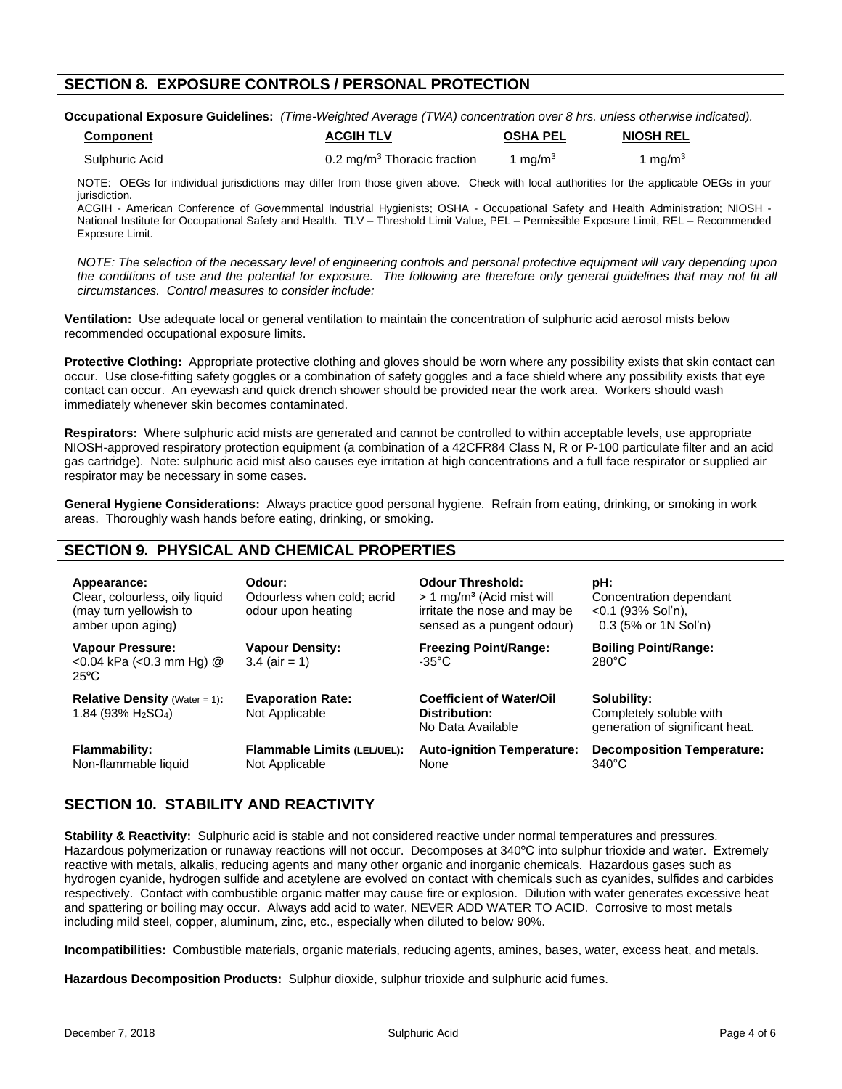# **SECTION 8. EXPOSURE CONTROLS / PERSONAL PROTECTION**

**Occupational Exposure Guidelines:** (Time-Weighted Average (TWA) concentration over 8 hrs. unless otherwise indicated).

| <b>Component</b> | <b>ACGIH TLV</b>                        | <b>OSHA PEL</b> | <b>NIOSH REL</b>      |
|------------------|-----------------------------------------|-----------------|-----------------------|
| Sulphuric Acid   | 0.2 mg/m <sup>3</sup> Thoracic fraction | 1 mg/m $3$      | $1 \ \mathrm{ma/m^3}$ |

NOTE: OEGs for individual jurisdictions may differ from those given above. Check with local authorities for the applicable OEGs in your jurisdiction.

ACGIH - American Conference of Governmental Industrial Hygienists; OSHA - Occupational Safety and Health Administration; NIOSH - National Institute for Occupational Safety and Health. TLV - Threshold Limit Value, PEL - Permissible Exposure Limit, REL - Recommended Exposure Limit.

NOTE: The selection of the necessary level of engineering controls and personal protective equipment will vary depending upon the conditions of use and the potential for exposure. The following are therefore only general guidelines that may not fit all circumstances. Control measures to consider include:

**Ventilation:** Use adequate local or general ventilation to maintain the concentration of sulphuric acid aerosol mists below recommended occupational exposure limits.

**Protective Clothing:** Appropriate protective clothing and gloves should be worn where any possibility exists that skin contact can occur. Use close-fitting safety goggles or a combination of safety goggles and a face shield where any possibility exists that eye contact can occur. An eyewash and quick drench shower should be provided near the work area. Workers should wash immediately whenever skin becomes contaminated.

**Respirators:** Where sulphuric acid mists are generated and cannot be controlled to within acceptable levels, use appropriate NIOSH-approved respiratory protection equipment (a combination of a 42CFR84 Class N, R or P-100 particulate filter and an acid gas cartridge). Note: sulphuric acid mist also causes eye irritation at high concentrations and a full face respirator or supplied air respirator may be necessary in some cases.

**General Hygiene Considerations:** Always practice good personal hygiene. Refrain from eating, drinking, or smoking in work areas. Thoroughly wash hands before eating, drinking, or smoking.

# **SECTION 9. PHYSICAL AND CHEMICAL PROPERTIES**

| Appearance:<br>Clear, colourless, oily liquid<br>(may turn yellowish to<br>amber upon aging) | Odour:<br>Odourless when cold: acrid<br>odour upon heating | <b>Odour Threshold:</b><br>$> 1$ mg/m <sup>3</sup> (Acid mist will<br>irritate the nose and may be<br>sensed as a pungent odour) | pH:<br>Concentration dependant<br>$<$ 0.1 (93% Sol'n),<br>0.3 (5% or 1N Sol'n) |
|----------------------------------------------------------------------------------------------|------------------------------------------------------------|----------------------------------------------------------------------------------------------------------------------------------|--------------------------------------------------------------------------------|
| <b>Vapour Pressure:</b><br>$<$ 0.04 kPa ( $<$ 0.3 mm Hg) $@$<br>$25^{\circ}$ C               | <b>Vapour Density:</b><br>$3.4$ (air = 1)                  | <b>Freezing Point/Range:</b><br>$-35^{\circ}$ C                                                                                  | <b>Boiling Point/Range:</b><br>280°C                                           |
| <b>Relative Density</b> (Water = 1):<br>1.84 (93% $H_2SO_4$ )                                | <b>Evaporation Rate:</b><br>Not Applicable                 | <b>Coefficient of Water/Oil</b><br>Distribution:<br>No Data Available                                                            | Solubility:<br>Completely soluble with<br>generation of significant heat.      |
| <b>Flammability:</b><br>Non-flammable liquid                                                 | <b>Flammable Limits (LEL/UEL):</b><br>Not Applicable       | <b>Auto-ignition Temperature:</b><br>None                                                                                        | <b>Decomposition Temperature:</b><br>$340^{\circ}$ C                           |

# **SECTION 10. STABILITY AND REACTIVITY**

**Stability & Reactivity:** Sulphuric acid is stable and not considered reactive under normal temperatures and pressures. Hazardous polymerization or runaway reactions will not occur. Decomposes at 340°C into sulphur trioxide and water. Extremely reactive with metals, alkalis, reducing agents and many other organic and inorganic chemicals. Hazardous gases such as hydrogen cyanide, hydrogen sulfide and acetylene are evolved on contact with chemicals such as cyanides, sulfides and carbides respectively. Contact with combustible organic matter may cause fire or explosion. Dilution with water generates excessive heat and spattering or boiling may occur. Always add acid to water, NEVER ADD WATER TO ACID. Corrosive to most metals including mild steel, copper, aluminum, zinc, etc., especially when diluted to below 90%.

**Incompatibilities:** Combustible materials, organic materials, reducing agents, amines, bases, water, excess heat, and metals.

**Hazardous Decomposition Products:** Sulphur dioxide, sulphur trioxide and sulphuric acid fumes.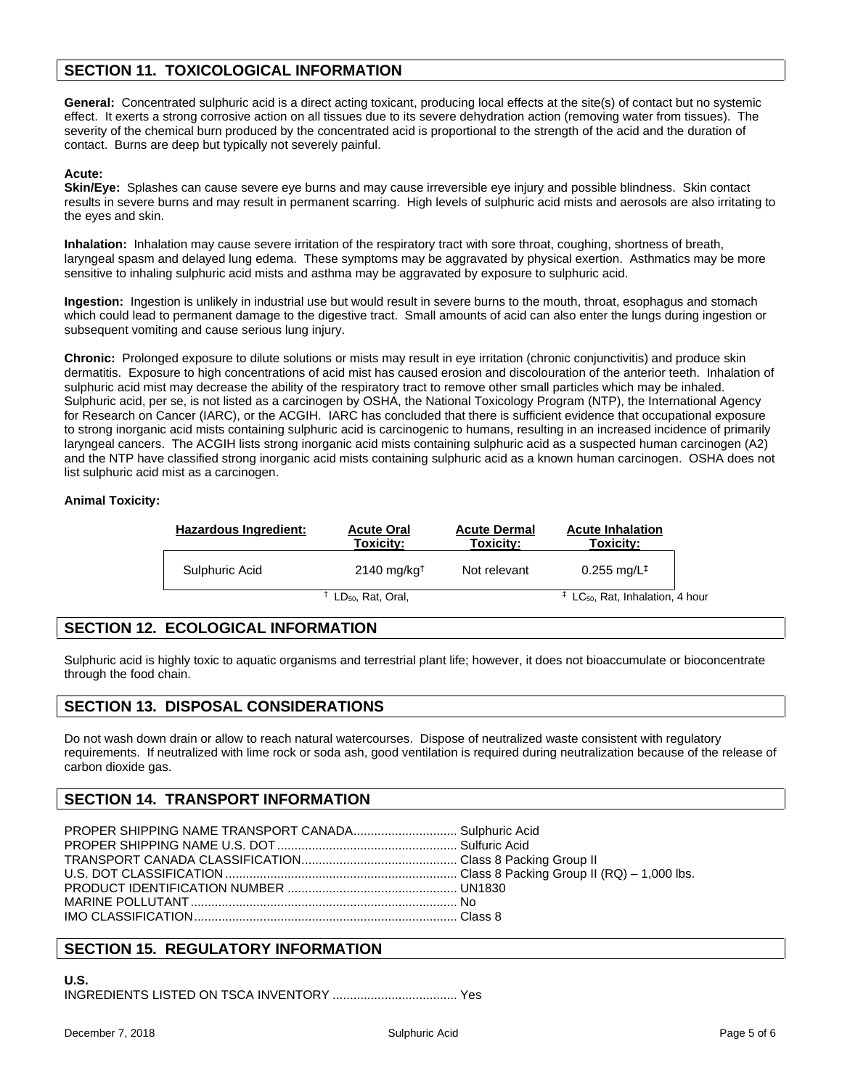# **SECTION 11. TOXICOLOGICAL INFORMATION**

**General:** Concentrated sulphuric acid is a direct acting toxicant, producing local effects at the site(s) of contact but no systemic effect. It exerts a strong corrosive action on all tissues due to its severe dehydration action (removing water from tissues). The severity of the chemical burn produced by the concentrated acid is proportional to the strength of the acid and the duration of contact. Burns are deep but typically not severely painful.

#### **Acute:**

**Skin/Eye:** Splashes can cause severe eye burns and may cause irreversible eye injury and possible blindness. Skin contact results in severe burns and may result in permanent scarring. High levels of sulphuric acid mists and aerosols are also irritating to the eyes and skin.

**Inhalation:** Inhalation may cause severe irritation of the respiratory tract with sore throat, coughing, shortness of breath, laryngeal spasm and delayed lung edema. These symptoms may be aggravated by physical exertion. Asthmatics may be more sensitive to inhaling sulphuric acid mists and asthma may be aggravated by exposure to sulphuric acid.

**Ingestion:** Ingestion is unlikely in industrial use but would result in severe burns to the mouth, throat, esophagus and stomach which could lead to permanent damage to the digestive tract. Small amounts of acid can also enter the lungs during ingestion or subsequent vomiting and cause serious lung injury.

**Chronic:** Prolonged exposure to dilute solutions or mists may result in eye irritation (chronic conjunctivitis) and produce skin dermatitis. Exposure to high concentrations of acid mist has caused erosion and discolouration of the anterior teeth. Inhalation of sulphuric acid mist may decrease the ability of the respiratory tract to remove other small particles which may be inhaled. Sulphuric acid, per se, is not listed as a carcinogen by OSHA, the National Toxicology Program (NTP), the International Agency for Research on Cancer (IARC), or the ACGIH. IARC has concluded that there is sufficient evidence that occupational exposure to strong inorganic acid mists containing sulphuric acid is carcinogenic to humans, resulting in an increased incidence of primarily laryngeal cancers. The ACGIH lists strong inorganic acid mists containing sulphuric acid as a suspected human carcinogen (A2) and the NTP have classified strong inorganic acid mists containing sulphuric acid as a known human carcinogen. OSHA does not list sulphuric acid mist as a carcinogen.

### **Animal Toxicity:**

| Hazardous Ingredient: | <b>Acute Oral</b><br>Toxicity: | <b>Acute Dermal</b><br>Toxicity: | <b>Acute Inhalation</b><br>Toxicity:             |  |
|-----------------------|--------------------------------|----------------------------------|--------------------------------------------------|--|
| Sulphuric Acid        | $2140$ mg/kg <sup>+</sup>      | Not relevant                     | $0.255 \text{ mg/L}^+$                           |  |
|                       | LD <sub>50</sub> , Rat, Oral,  |                                  | $\pm$ LC <sub>50</sub> , Rat, Inhalation, 4 hour |  |

# **SECTION 12. ECOLOGICAL INFORMATION**

Sulphuric acid is highly toxic to aquatic organisms and terrestrial plant life; however, it does not bioaccumulate or bioconcentrate through the food chain.

### **SECTION 13. DISPOSAL CONSIDERATIONS**

Do not wash down drain or allow to reach natural watercourses. Dispose of neutralized waste consistent with regulatory requirements. If neutralized with lime rock orsoda ash, good ventilation is required during neutralization because of the release of carbon dioxide gas.

### **SECTION 14. TRANSPORT INFORMATION**

# **SECTION 15. REGULATORY INFORMATION**

### **U.S.**

INGREDIENTS LISTED ON TSCA INVENTORY .................................... Yes